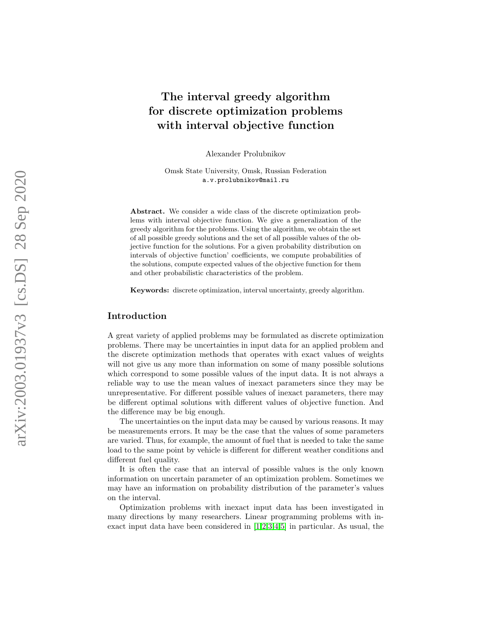# The interval greedy algorithm for discrete optimization problems with interval objective function

Alexander Prolubnikov

Omsk State University, Omsk, Russian Federation a.v.prolubnikov@mail.ru

Abstract. We consider a wide class of the discrete optimization problems with interval objective function. We give a generalization of the greedy algorithm for the problems. Using the algorithm, we obtain the set of all possible greedy solutions and the set of all possible values of the objective function for the solutions. For a given probability distribution on intervals of objective function' coefficients, we compute probabilities of the solutions, compute expected values of the objective function for them and other probabilistic characteristics of the problem.

Keywords: discrete optimization, interval uncertainty, greedy algorithm.

# Introduction

A great variety of applied problems may be formulated as discrete optimization problems. There may be uncertainties in input data for an applied problem and the discrete optimization methods that operates with exact values of weights will not give us any more than information on some of many possible solutions which correspond to some possible values of the input data. It is not always a reliable way to use the mean values of inexact parameters since they may be unrepresentative. For different possible values of inexact parameters, there may be different optimal solutions with different values of objective function. And the difference may be big enough.

The uncertainties on the input data may be caused by various reasons. It may be measurements errors. It may be the case that the values of some parameters are varied. Thus, for example, the amount of fuel that is needed to take the same load to the same point by vehicle is different for different weather conditions and different fuel quality.

It is often the case that an interval of possible values is the only known information on uncertain parameter of an optimization problem. Sometimes we may have an information on probability distribution of the parameter's values on the interval.

Optimization problems with inexact input data has been investigated in many directions by many researchers. Linear programming problems with inexact input data have been considered in [\[1](#page-16-0)[,2,](#page-17-0)[3,](#page-17-1)[4,](#page-17-2)[5\]](#page-17-3) in particular. As usual, the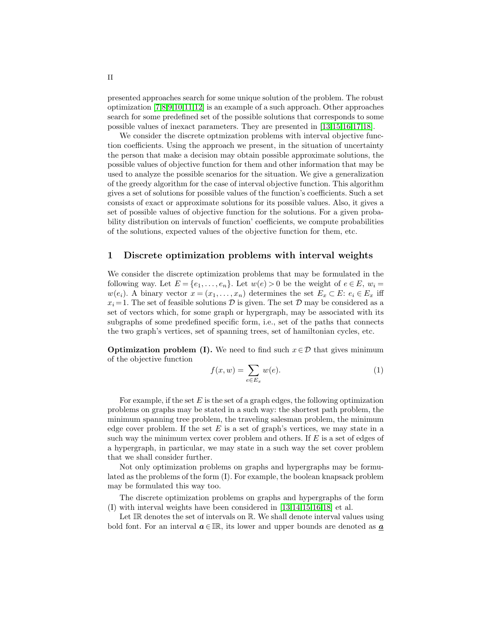presented approaches search for some unique solution of the problem. The robust optimization [\[7,](#page-17-4)[8,](#page-17-5)[9](#page-17-6)[,10,](#page-17-7)[11,](#page-17-8)[12\]](#page-17-9) is an example of a such approach. Other approaches search for some predefined set of the possible solutions that corresponds to some possible values of inexact parameters. They are presented in [\[13,](#page-17-10)[15,](#page-17-11)[16,](#page-17-12)[17,](#page-17-13)[18\]](#page-17-14).

We consider the discrete optmization problems with interval objective function coefficients. Using the approach we present, in the situation of uncertainty the person that make a decision may obtain possible approximate solutions, the possible values of objective function for them and other information that may be used to analyze the possible scenarios for the situation. We give a generalization of the greedy algorithm for the case of interval objective function. This algorithm gives a set of solutions for possible values of the function's coefficients. Such a set consists of exact or approximate solutions for its possible values. Also, it gives a set of possible values of objective function for the solutions. For a given probability distribution on intervals of function' coefficients, we compute probabilities of the solutions, expected values of the objective function for them, etc.

## 1 Discrete optimization problems with interval weights

We consider the discrete optimization problems that may be formulated in the following way. Let  $E = \{e_1, \ldots, e_n\}$ . Let  $w(e) > 0$  be the weight of  $e \in E$ ,  $w_i =$  $w(e_i)$ . A binary vector  $x = (x_1, \ldots, x_n)$  determines the set  $E_x \subset E$ :  $e_i \in E_x$  iff  $x_i = 1$ . The set of feasible solutions  $\mathcal D$  is given. The set  $\mathcal D$  may be considered as a set of vectors which, for some graph or hypergraph, may be associated with its subgraphs of some predefined specific form, i.e., set of the paths that connects the two graph's vertices, set of spanning trees, set of hamiltonian cycles, etc.

**Optimization problem (I).** We need to find such  $x \in \mathcal{D}$  that gives minimum of the objective function

$$
f(x, w) = \sum_{e \in E_x} w(e). \tag{1}
$$

For example, if the set  $E$  is the set of a graph edges, the following optimization problems on graphs may be stated in a such way: the shortest path problem, the minimum spanning tree problem, the traveling salesman problem, the minimum edge cover problem. If the set  $E$  is a set of graph's vertices, we may state in a such way the minimum vertex cover problem and others. If  $E$  is a set of edges of a hypergraph, in particular, we may state in a such way the set cover problem that we shall consider further.

Not only optimization problems on graphs and hypergraphs may be formulated as the problems of the form (I). For example, the boolean knapsack problem may be formulated this way too.

The discrete optimization problems on graphs and hypergraphs of the form (I) with interval weights have been considered in [\[13,](#page-17-10)[14,](#page-17-15)[15,](#page-17-11)[16](#page-17-12)[,18\]](#page-17-14) et al.

Let  $\mathbb{IR}$  denotes the set of intervals on  $\mathbb{R}$ . We shall denote interval values using bold font. For an interval  $a \in \mathbb{R}$ , its lower and upper bounds are denoted as  $\underline{a}$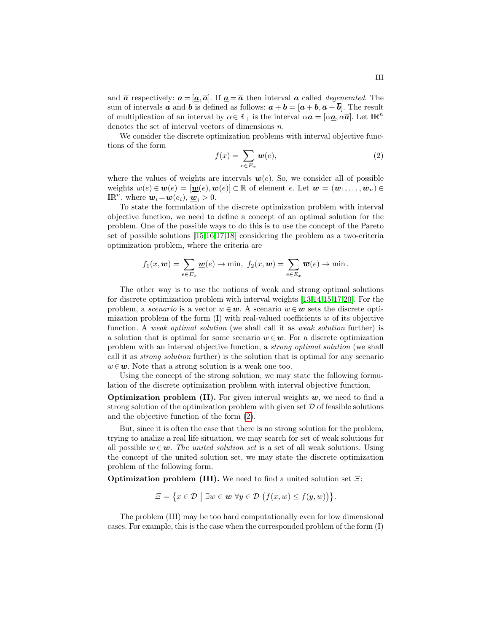and  $\bar{a}$  respectively:  $a = [\underline{a}, \bar{a}]$ . If  $\underline{a} = \bar{a}$  then interval a called *degenerated*. The sum of intervals **a** and **b** is defined as follows:  $a + b = [a + b, \overline{a} + b]$ . The result of multiplication of an interval by  $\alpha \in \mathbb{R}_+$  is the interval  $\alpha \mathbf{a} = [\alpha \mathbf{a}, \alpha \overline{\mathbf{a}}]$ . Let  $\mathbb{IR}^n$ denotes the set of interval vectors of dimensions n.

We consider the discrete optimization problems with interval objective functions of the form

<span id="page-2-0"></span>
$$
f(x) = \sum_{e \in E_x} \mathbf{w}(e),\tag{2}
$$

where the values of weights are intervals  $w(e)$ . So, we consider all of possible weights  $w(e) \in w(e) = [w(e), \overline{w}(e)] \subset \mathbb{R}$  of element e. Let  $w = (w_1, \ldots, w_n) \in$  $\mathbb{IR}^n$ , where  $w_i = w(e_i)$ ,  $w_i > 0$ .

To state the formulation of the discrete optimization problem with interval objective function, we need to define a concept of an optimal solution for the problem. One of the possible ways to do this is to use the concept of the Pareto set of possible solutions [\[15](#page-17-11)[,16,](#page-17-12)[17,](#page-17-13)[18\]](#page-17-14) considering the problem as a two-criteria optimization problem, where the criteria are

$$
f_1(x, \mathbf{w}) = \sum_{e \in E_x} \underline{\mathbf{w}}(e) \to \min, \ f_2(x, \mathbf{w}) = \sum_{e \in E_x} \overline{\mathbf{w}}(e) \to \min.
$$

The other way is to use the notions of weak and strong optimal solutions for discrete optimization problem with interval weights [\[13,](#page-17-10)[14,](#page-17-15)[15,](#page-17-11)[17,](#page-17-13)[20\]](#page-17-16). For the problem, a *scenario* is a vector  $w \in \mathbf{w}$ . A scenario  $w \in \mathbf{w}$  sets the discrete optimization problem of the form  $(I)$  with real-valued coefficients w of its objective function. A weak optimal solution (we shall call it as weak solution further) is a solution that is optimal for some scenario  $w \in \mathbf{w}$ . For a discrete optimization problem with an interval objective function, a strong optimal solution (we shall call it as strong solution further) is the solution that is optimal for any scenario  $w \in \mathbf{w}$ . Note that a strong solution is a weak one too.

Using the concept of the strong solution, we may state the following formulation of the discrete optimization problem with interval objective function.

**Optimization problem (II).** For given interval weights  $w$ , we need to find a strong solution of the optimization problem with given set  $D$  of feasible solutions and the objective function of the form [\(2\)](#page-2-0).

But, since it is often the case that there is no strong solution for the problem, trying to analize a real life situation, we may search for set of weak solutions for all possible  $w \in \mathbf{w}$ . The united solution set is a set of all weak solutions. Using the concept of the united solution set, we may state the discrete optimization problem of the following form.

**Optimization problem (III).** We need to find a united solution set  $\Xi$ :

$$
\Xi = \big\{ x \in \mathcal{D} \mid \exists w \in \mathbf{w} \,\,\forall y \in \mathcal{D} \,\big( f(x,w) \leq f(y,w) \big) \big\}.
$$

The problem (III) may be too hard computationally even for low dimensional cases. For example, this is the case when the corresponded problem of the form (I)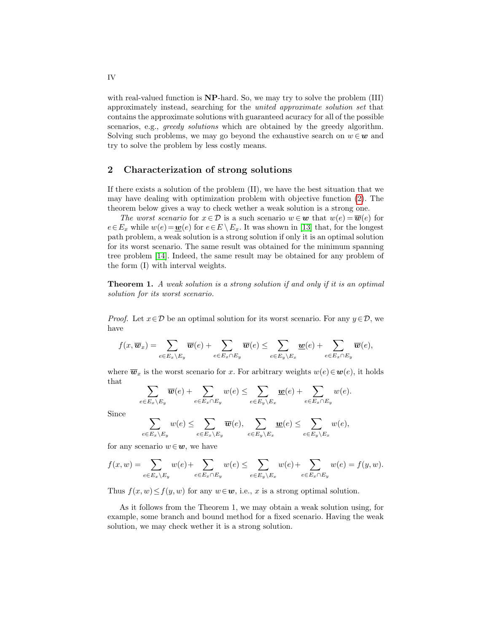with real-valued function is **NP**-hard. So, we may try to solve the problem (III) approximately instead, searching for the united approximate solution set that contains the approximate solutions with guaranteed acuracy for all of the possible scenarios, e.g., *greedy solutions* which are obtained by the greedy algorithm. Solving such problems, we may go beyond the exhaustive search on  $w \in \mathbf{w}$  and try to solve the problem by less costly means.

# 2 Characterization of strong solutions

If there exists a solution of the problem (II), we have the best situation that we may have dealing with optimization problem with objective function [\(2\)](#page-2-0). The theorem below gives a way to check wether a weak solution is a strong one.

The worst scenario for  $x \in \mathcal{D}$  is a such scenario  $w \in \mathbf{w}$  that  $w(e) = \overline{\mathbf{w}}(e)$  for  $e \in E_x$  while  $w(e) = \underline{w}(e)$  for  $e \in E \setminus E_x$ . It was shown in [\[13\]](#page-17-10) that, for the longest path problem, a weak solution is a strong solution if only it is an optimal solution for its worst scenario. The same result was obtained for the minimum spanning tree problem [\[14\]](#page-17-15). Indeed, the same result may be obtained for any problem of the form (I) with interval weights.

Theorem 1. A weak solution is a strong solution if and only if it is an optimal solution for its worst scenario.

*Proof.* Let  $x \in \mathcal{D}$  be an optimal solution for its worst scenario. For any  $y \in \mathcal{D}$ , we have

$$
f(x,\overline{\boldsymbol{w}}_x) = \sum_{e \in E_x \backslash E_y} \overline{\boldsymbol{w}}(e) + \sum_{e \in E_x \cap E_y} \overline{\boldsymbol{w}}(e) \leq \sum_{e \in E_y \backslash E_x} \underline{\boldsymbol{w}}(e) + \sum_{e \in E_x \cap E_y} \overline{\boldsymbol{w}}(e),
$$

where  $\overline{\boldsymbol{w}}_x$  is the worst scenario for x. For arbitrary weights  $w(e) \in \boldsymbol{w}(e)$ , it holds that

$$
\sum_{e \in E_x \setminus E_y} \overline{w}(e) + \sum_{e \in E_x \cap E_y} w(e) \le \sum_{e \in E_y \setminus E_x} \underline{w}(e) + \sum_{e \in E_x \cap E_y} w(e).
$$

Since

$$
\sum_{e \in E_x \setminus E_y} w(e) \leq \sum_{e \in E_x \setminus E_y} \overline{w}(e), \sum_{e \in E_y \setminus E_x} \underline{w}(e) \leq \sum_{e \in E_y \setminus E_x} w(e),
$$

for any scenario  $w \in \mathbf{w}$ , we have

$$
f(x,w) = \sum_{e \in E_x \setminus E_y} w(e) + \sum_{e \in E_x \cap E_y} w(e) \le \sum_{e \in E_y \setminus E_x} w(e) + \sum_{e \in E_x \cap E_y} w(e) = f(y,w).
$$

Thus  $f(x, w) \leq f(y, w)$  for any  $w \in \mathbf{w}$ , i.e., x is a strong optimal solution.

As it follows from the Theorem 1, we may obtain a weak solution using, for example, some branch and bound method for a fixed scenario. Having the weak solution, we may check wether it is a strong solution.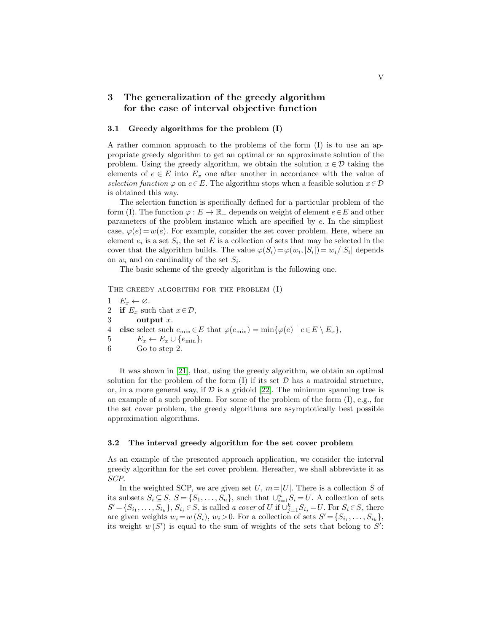# 3 The generalization of the greedy algorithm for the case of interval objective function

#### 3.1 Greedy algorithms for the problem (I)

A rather common approach to the problems of the form (I) is to use an appropriate greedy algorithm to get an optimal or an approximate solution of the problem. Using the greedy algorithm, we obtain the solution  $x \in \mathcal{D}$  taking the elements of  $e \in E$  into  $E_x$  one after another in accordance with the value of selection function  $\varphi$  on  $e \in E$ . The algorithm stops when a feasible solution  $x \in \mathcal{D}$ is obtained this way.

The selection function is specifically defined for a particular problem of the form (I). The function  $\varphi : E \to \mathbb{R}_+$  depends on weight of element  $e \in E$  and other parameters of the problem instance which are specified by e. In the simpliest case,  $\varphi(e) = w(e)$ . For example, consider the set cover problem. Here, where an element  $e_i$  is a set  $S_i$ , the set E is a collection of sets that may be selected in the cover that the algorithm builds. The value  $\varphi(S_i) = \varphi(w_i, |S_i|) = w_i/|S_i|$  depends on  $w_i$  and on cardinality of the set  $S_i$ .

The basic scheme of the greedy algorithm is the following one.

THE GREEDY ALGORITHM FOR THE PROBLEM  $(I)$ 

1  $E_x \leftarrow \emptyset$ . 2 if  $E_x$  such that  $x \in \mathcal{D}$ , 3 output x. 4 else select such  $e_{\min} \in E$  that  $\varphi(e_{\min}) = \min \{ \varphi(e) \mid e \in E \setminus E_x \},$ 5  $E_x \leftarrow E_x \cup \{e_{\min}\},$ 6 Go to step 2.

It was shown in [\[21\]](#page-18-0), that, using the greedy algorithm, we obtain an optimal solution for the problem of the form  $(I)$  if its set  $D$  has a matroidal structure, or, in a more general way, if  $D$  is a gridoid [\[22\]](#page-18-1). The minimum spanning tree is an example of a such problem. For some of the problem of the form (I), e.g., for the set cover problem, the greedy algorithms are asymptotically best possible approximation algorithms.

#### 3.2 The interval greedy algorithm for the set cover problem

As an example of the presented approach application, we consider the interval greedy algorithm for the set cover problem. Hereafter, we shall abbreviate it as SCP.

In the weighted SCP, we are given set U,  $m=|U|$ . There is a collection S of its subsets  $S_i \subseteq S$ ,  $S = \{S_1, \ldots, S_n\}$ , such that  $\cup_{i=1}^n S_i = U$ . A collection of sets  $S' = \{S_{i_1}, \ldots, S_{i_k}\}, S_{i_j} \in S$ , is called a cover of U if  $\cup_{j=1}^k S_{i_j} = U$ . For  $S_i \in S$ , there are given weights  $w_i = w(S_i)$ ,  $w_i > 0$ . For a collection of sets  $S' = \{S_{i_1}, \ldots, S_{i_k}\}\,$ its weight  $w(S')$  is equal to the sum of weights of the sets that belong to  $S'$ :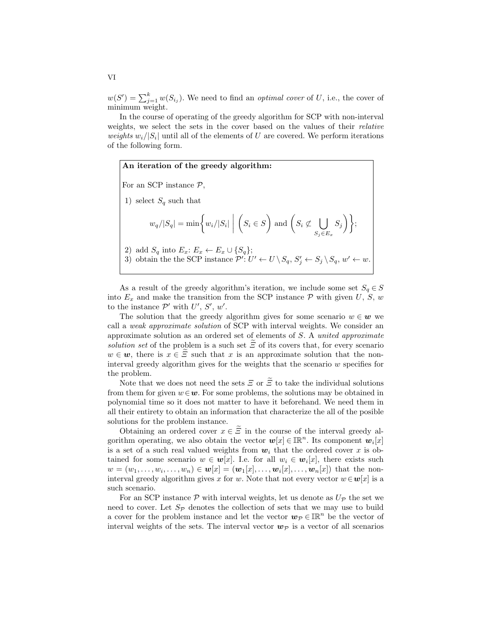$w(S') = \sum_{j=1}^{k} w(S_{i_j})$ . We need to find an *optimal cover* of U, i.e., the cover of minimum weight.

In the course of operating of the greedy algorithm for SCP with non-interval weights, we select the sets in the cover based on the values of their relative weights  $w_i/|S_i|$  until all of the elements of U are covered. We perform iterations of the following form.

For an SCP instance  $P$ ,

An iteration of the greedy algorithm:

1) select  $S_q$  such that

$$
w_q/|S_q| = \min \left\{ w_i/|S_i| \mid \left( S_i \in S \right) \text{ and } \left( S_i \not\subset \bigcup_{S_j \in E_x} S_j \right) \right\};
$$

2) add  $S_q$  into  $E_x: E_x \leftarrow E_x \cup \{S_q\};$ 3) obtain the the SCP instance  $\mathcal{P}'$ :  $U' \leftarrow U \setminus S_q$ ,  $S'_j \leftarrow S_j \setminus S_q$ ,  $w' \leftarrow w$ .

As a result of the greedy algorithm's iteration, we include some set  $S_q \in S$ into  $E_x$  and make the transition from the SCP instance  $P$  with given  $U, S, w$ to the instance  $\mathcal{P}'$  with  $U', S', w'$ .

The solution that the greedy algorithm gives for some scenario  $w \in \mathbf{w}$  we call a weak approximate solution of SCP with interval weights. We consider an approximate solution as an ordered set of elements of S. A united approximate solution set of the problem is a such set  $\overline{E}$  of its covers that, for every scenario  $w \in \mathbf{w}$ , there is  $x \in \overline{\mathcal{Z}}$  such that x is an approximate solution that the noninterval greedy algorithm gives for the weights that the scenario  $w$  specifies for the problem.

Note that we does not need the sets  $\Xi$  or  $\widetilde{\Xi}$  to take the individual solutions from them for given  $w \in \mathbf{w}$ . For some problems, the solutions may be obtained in polynomial time so it does not matter to have it beforehand. We need them in all their entirety to obtain an information that characterize the all of the posible solutions for the problem instance.

Obtaining an ordered cover  $x \in \tilde{\Xi}$  in the course of the interval greedy algorithm operating, we also obtain the vector  $w[x] \in \mathbb{IR}^n$ . Its component  $w_i[x]$ is a set of a such real valued weights from  $w_i$ , that the ordered cover x is obtained for some scenario  $w \in w[x]$ . I.e. for all  $w_i \in w_i[x]$ , there exists such  $w = (w_1, \ldots, w_i, \ldots, w_n) \in \mathbf{w}[x] = (\mathbf{w}_1[x], \ldots, \mathbf{w}_i[x], \ldots, \mathbf{w}_n[x])$  that the noninterval greedy algorithm gives x for w. Note that not every vector  $w \in \mathbf{w}[x]$  is a such scenario.

For an SCP instance  $P$  with interval weights, let us denote as  $U_P$  the set we need to cover. Let  $S_{\mathcal{P}}$  denotes the collection of sets that we may use to build a cover for the problem instance and let the vector  $w_{\mathcal{P}} \in \mathbb{IR}^n$  be the vector of interval weights of the sets. The interval vector  $w_{\mathcal{P}}$  is a vector of all scenarios

VI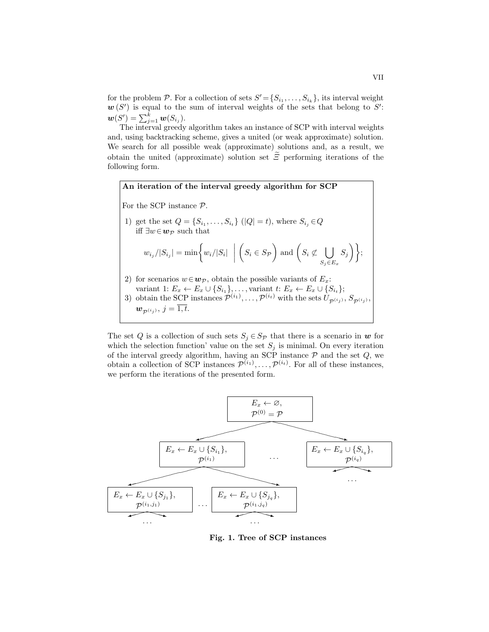for the problem  $P$ . For a collection of sets  $S' = \{S_{i_1}, \ldots, S_{i_k}\}\)$ , its interval weight  $w(S')$  is equal to the sum of interval weights of the sets that belong to S':  $\boldsymbol{w}(S') = \sum_{j=1}^k \boldsymbol{w}(S_{i_j}).$ 

The interval greedy algorithm takes an instance of SCP with interval weights and, using backtracking scheme, gives a united (or weak approximate) solution. We search for all possible weak (approximate) solutions and, as a result, we obtain the united (approximate) solution set  $\widetilde{\Xi}$  performing iterations of the following form.



The set Q is a collection of such sets  $S_i \in S_p$  that there is a scenario in w for which the selection function' value on the set  $S_j$  is minimal. On every iteration of the interval greedy algorithm, having an SCP instance  $P$  and the set  $Q$ , we obtain a collection of SCP instances  $\mathcal{P}^{(i_1)}, \ldots, \mathcal{P}^{(i_t)}$ . For all of these instances, we perform the iterations of the presented form.



Fig. 1. Tree of SCP instances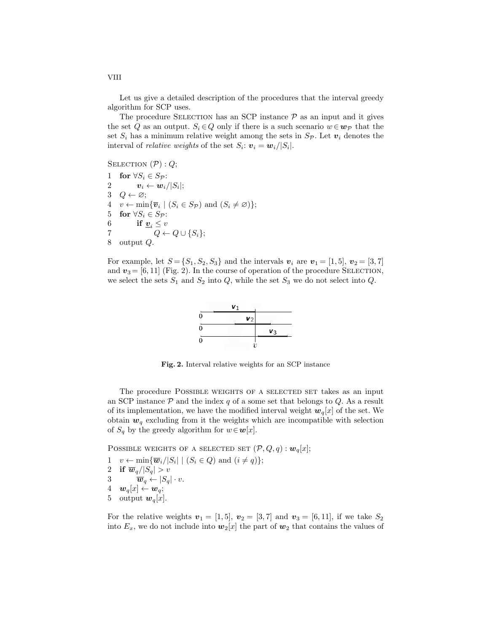Let us give a detailed description of the procedures that the interval greedy algorithm for SCP uses.

The procedure SELECTION has an SCP instance  $P$  as an input and it gives the set Q as an output.  $S_i \in Q$  only if there is a such scenario  $w \in w_{\mathcal{P}}$  that the set  $S_i$  has a minimum relative weight among the sets in  $S_p$ . Let  $v_i$  denotes the interval of *relative weights* of the set  $S_i$ :  $\boldsymbol{v}_i = \boldsymbol{w}_i / |S_i|$ .

SELECTION  $(\mathcal{P}) : Q$ ;

1 for  $\forall S_i \in S_{\mathcal{P}}$ :  $2 \qquad \qquad {\bm{v}}_i \leftarrow {\bm{w}}_i / |S_i|;$  $3 \quad Q \leftarrow \varnothing;$ 4  $v \leftarrow \min{\overline{v}_i \mid (S_i \in S_{\mathcal{P}}) \text{ and } (S_i \neq \varnothing)}$ ; 5 for  $\forall S_i \in S_{\mathcal{P}}$ : 6 if  $\underline{v}_i \leq v$ 7  $Q \leftarrow Q \cup \{S_i\};$ 8 output Q.

For example, let  $S = \{S_1, S_2, S_3\}$  and the intervals  $v_i$  are  $v_1 = [1, 5], v_2 = [3, 7]$ and  $v_3 = [6, 11]$  (Fig. 2). In the course of operation of the procedure SELECTION, we select the sets  $S_1$  and  $S_2$  into  $Q$ , while the set  $S_3$  we do not select into  $Q$ .



Fig. 2. Interval relative weights for an SCP instance

The procedure POSSIBLE WEIGHTS OF A SELECTED SET takes as an input an SCP instance  $P$  and the index  $q$  of a some set that belongs to  $Q$ . As a result of its implementation, we have the modified interval weight  $w_q[x]$  of the set. We obtain  $w_q$  excluding from it the weights which are incompatible with selection of  $S_q$  by the greedy algorithm for  $w \in \mathbf{w}[x]$ .

POSSIBLE WEIGHTS OF A SELECTED SET  $(\mathcal{P}, Q, q) : \mathbf{w}_q[x]$ ;

1  $v \leftarrow \min{\{\overline{\boldsymbol{w}}_i/|S_i| \mid (S_i \in Q) \text{ and } (i \neq q)\}};$ 2 if  $\overline{w}_q/|S_q| > v$ 3  $\overline{\boldsymbol{w}}_q \leftarrow |S_q| \cdot v.$ 4  $\mathbf{w}_q[x] \leftarrow \mathbf{w}_q;$ 5 output  $w_q[x]$ .

For the relative weights  $v_1 = [1, 5], v_2 = [3, 7]$  and  $v_3 = [6, 11],$  if we take  $S_2$ into  $E_x$ , we do not include into  $w_2[x]$  the part of  $w_2$  that contains the values of

VIII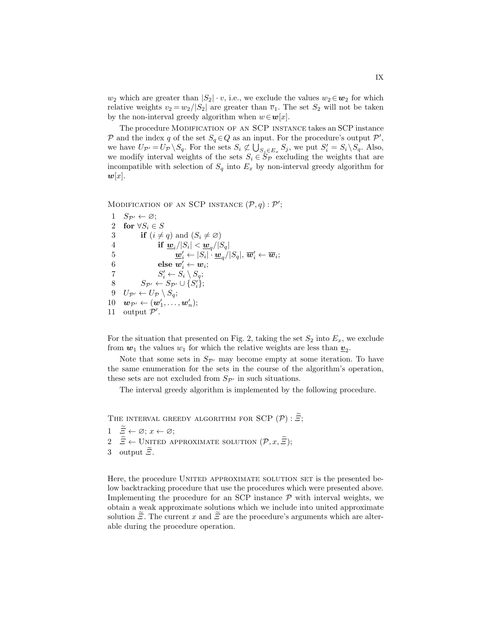$w_2$  which are greater than  $|S_2| \cdot v$ , i.e., we exclude the values  $w_2 \in w_2$  for which relative weights  $v_2 = w_2/|S_2|$  are greater than  $\overline{v}_1$ . The set  $S_2$  will not be taken by the non-interval greedy algorithm when  $w \in \mathbf{w}[x]$ .

The procedure Modification of an SCP instance takes an SCP instance P and the index q of the set  $S_q \in Q$  as an input. For the procedure's output  $\mathcal{P}'$ , we have  $U_{\mathcal{P}'} = U_{\mathcal{P}} \setminus S_q$ . For the sets  $S_i \not\subset \bigcup_{S_j \in E_x} S_j$ , we put  $S'_i = S_i \setminus S_q$ . Also, we modify interval weights of the sets  $S_i \in S_{\mathcal{P}}$  excluding the weights that are incompatible with selection of  $S_q$  into  $E_x$  by non-interval greedy algorithm for  $w[x]$ .

MODIFICATION OF AN SCP INSTANCE  $(\mathcal{P}, q) : \mathcal{P}'$ ;

1  $S_{\mathcal{P}'} \leftarrow \varnothing;$ 2 for  $\forall S_i \in S$ 3 if  $(i \neq q)$  and  $(S_i \neq \emptyset)$ 4 if  $\underline{w}_i$  $/|S_i| < \underline{w}_q/|S_q|$  $\delta \qquad \qquad \mathbf{w}_i' \leftarrow |S_i| \cdot \mathbf{w}_q / |S_q|, \, \mathbf{\overline{w}}_i' \leftarrow \mathbf{\overline{w}}_i;$  $6 \qquad \qquad \mathbf{else} \; \bm{w}_i' \leftarrow \bm{w}_i;$ 7  $S'_i \leftarrow S_i \setminus S_q;$ 8  $S_{\mathcal{P}'} \leftarrow S_{\mathcal{P}'} \cup \{S'_i\};$ 9  $U_{\mathcal{P}'} \leftarrow U_{\mathcal{P}} \setminus S_q;$  $10 \quad \boldsymbol{w}_{\mathcal{P}'} \leftarrow (\boldsymbol{w}_1', \dots, \boldsymbol{w}_n');$ 11 output  $\mathcal{P}'$ .

For the situation that presented on Fig. 2, taking the set  $S_2$  into  $E_x$ , we exclude from  $w_1$  the values  $w_1$  for which the relative weights are less than  $\underline{v}_2$ .

Note that some sets in  $S_{\mathcal{P}'}$  may become empty at some iteration. To have the same enumeration for the sets in the course of the algorithm's operation, these sets are not excluded from  $S_{\mathcal{P}}$  in such situations.

The interval greedy algorithm is implemented by the following procedure.

THE INTERVAL GREEDY ALGORITHM FOR SCP  $(\mathcal{P}) : \widetilde{\mathcal{Z}}$ ;

- $1 \quad \widetilde{\Xi} \leftarrow \varnothing; x \leftarrow \varnothing;$
- 2  $\widetilde{\Xi} \leftarrow \text{UNITED APPROXIMATE SOLUTION } (\mathcal{P}, x, \widetilde{\Xi});$
- 3 output  $\widetilde{\Xi}$ .

Here, the procedure UNITED APPROXIMATE SOLUTION SET is the presented below backtracking procedure that use the procedures which were presented above. Implementing the procedure for an SCP instance  $P$  with interval weights, we obtain a weak approximate solutions which we include into united approximate solution  $\Xi$ . The current x and  $\Xi$  are the procedure's arguments which are alterable during the procedure operation.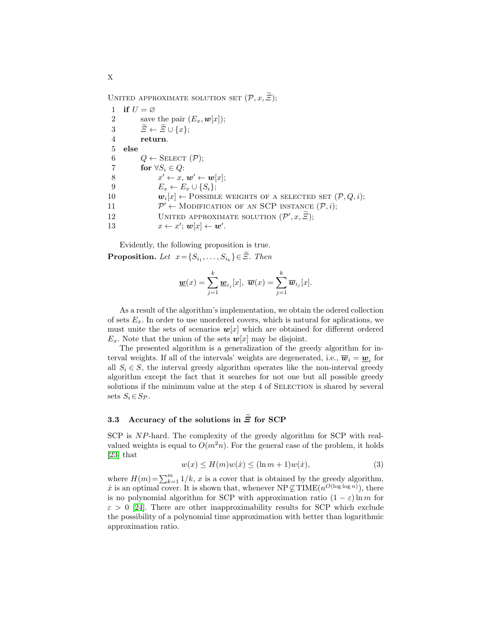UNITED APPROXIMATE SOLUTION SET  $(\mathcal{P}, x, \widetilde{\Xi})$ ;

1 if  $U = \varnothing$ 2 save the pair  $(E_x, \boldsymbol{w}[x])$ ; 3  $\widetilde{\Xi} \leftarrow \widetilde{\Xi} \cup \{x\};$ <br>4 return. return. 5 else 6  $Q \leftarrow$  SELECT  $(\mathcal{P});$ 7 for  $\forall S_i \in Q$ : 8  $x' \leftarrow x, w' \leftarrow w[x];$ 9  $E_x \leftarrow E_x \cup \{S_i\};$ 10  $\mathbf{w}_i[x] \leftarrow \text{Possible weights of A SELECTED SET } (\mathcal{P}, Q, i);$  $11$  $\mathcal{P}' \leftarrow \text{MODIFICATION OF AN SCP INSTANCE } (\mathcal{P}, i);$ 12 UNITED APPROXIMATE SOLUTION  $(\mathcal{P}', x, \widetilde{\Xi})$ ; 13  $x \leftarrow x'; \mathbf{w}[x] \leftarrow \mathbf{w}'.$ 

Evidently, the following proposition is true.

**Proposition.** Let  $x = \{S_{i_1}, \ldots, S_{i_k}\} \in \Xi$ . Then

$$
\underline{\boldsymbol{w}}(x) = \sum_{j=1}^{k} \underline{\boldsymbol{w}}_{i_j}[x], \ \overline{\boldsymbol{w}}(x) = \sum_{j=1}^{k} \overline{\boldsymbol{w}}_{i_j}[x].
$$

As a result of the algorithm's implementation, we obtain the odered collection of sets  $E_x$ . In order to use unordered covers, which is natural for aplications, we must unite the sets of scenarios  $w[x]$  which are obtained for different ordered  $E_x$ . Note that the union of the sets  $w[x]$  may be disjoint.

The presented algorithm is a generalization of the greedy algorithm for interval weights. If all of the intervals' weights are degenerated, i.e.,  $\overline{w}_i = \underline{w}_i$  for all  $S_i \in S$ , the interval greedy algorithm operates like the non-interval greedy algorithm except the fact that it searches for not one but all possible greedy solutions if the minimum value at the step 4 of SELECTION is shared by several sets  $S_i \in S_{\mathcal{P}}$ .

# 3.3 Accuracy of the solutions in  $\widetilde{\Xi}$  for SCP

SCP is NP-hard. The complexity of the greedy algorithm for SCP with realvalued weights is equal to  $O(m^2n)$ . For the general case of the problem, it holds [\[23\]](#page-18-2) that

$$
w(x) \le H(m)w(\dot{x}) \le (\ln m + 1)w(\dot{x}),\tag{3}
$$

where  $H(m) = \sum_{k=1}^{m} 1/k$ , x is a cover that is obtained by the greedy algorithm, x is an optimal cover. It is shown that, whenever  $NP \not\subseteq TIME(n^{O(\log \log n)})$ , there is no polynomial algorithm for SCP with approximation ratio  $(1 - \varepsilon) \ln m$  for  $\varepsilon > 0$  [\[24\]](#page-18-3). There are other inapproximability results for SCP which exclude the possibility of a polynomial time approximation with better than logarithmic approximation ratio.

X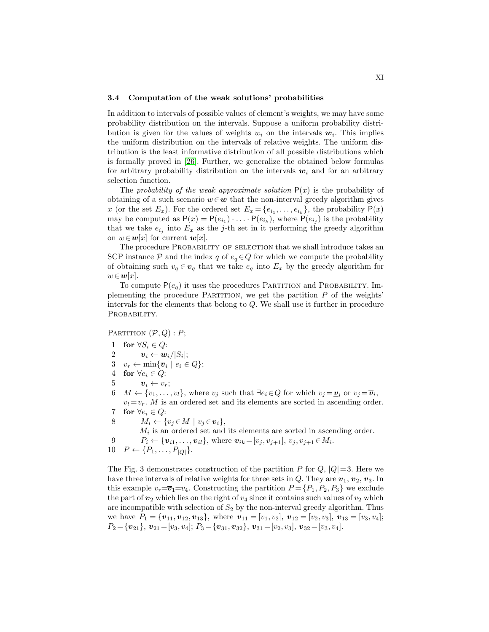#### 3.4 Computation of the weak solutions' probabilities

In addition to intervals of possible values of element's weights, we may have some probability distribution on the intervals. Suppose a uniform probability distribution is given for the values of weights  $w_i$  on the intervals  $w_i$ . This implies the uniform distribution on the intervals of relative weights. The uniform distribution is the least informative distribution of all possible distributions which is formally proved in [\[26\]](#page-18-4). Further, we generalize the obtained below formulas for arbitrary probability distribution on the intervals  $w_i$  and for an arbitrary selection function.

The probability of the weak approximate solution  $P(x)$  is the probability of obtaining of a such scenario  $w \in \mathbf{w}$  that the non-interval greedy algorithm gives x (or the set  $E_x$ ). For the ordered set  $E_x = \{e_{i_1}, \ldots, e_{i_k}\}\,$  the probability  $P(x)$ may be computed as  $P(x) = P(e_{i_1}) \cdot \ldots \cdot P(e_{i_k})$ , where  $P(e_{i_j})$  is the probability that we take  $e_{i_j}$  into  $E_x$  as the j-th set in it performing the greedy algorithm on  $w \in \mathbf{w}[x]$  for current  $\mathbf{w}[x]$ .

The procedure PROBABILITY OF SELECTION that we shall introduce takes an SCP instance P and the index q of  $e_q \in Q$  for which we compute the probability of obtaining such  $v_q \in v_q$  that we take  $e_q$  into  $E_x$  by the greedy algorithm for  $w \in \mathbf{w}[x]$ .

To compute  $P(e_q)$  it uses the procedures PARTITION and PROBABILITY. Implementing the procedure PARTITION, we get the partition  $P$  of the weights' intervals for the elements that belong to Q. We shall use it further in procedure PROBABILITY.

PARTITION  $(P, Q): P;$ 

- 1 for  $\forall S_i \in Q$ :
- $2 \qquad \qquad {\bm{v}}_i \leftarrow {\bm{w}}_i / |S_i|;$
- 3  $v_r \leftarrow \min\{\overline{v}_i \mid e_i \in Q\};$
- 4 for  $\forall e_i \in Q$ :
- 5  $\overline{v}_i \leftarrow v_r$ ;
- 6  $M \leftarrow \{v_1, \ldots, v_l\}$ , where  $v_j$  such that  $\exists e_i \in Q$  for which  $v_j = \underline{\mathbf{v}}_i$  or  $v_j = \overline{\mathbf{v}}_i$ ,  $v_l = v_r$ . M is an ordered set and its elements are sorted in ascending order.
- 7 for  $\forall e_i \in Q$ :
- 8  $M_i \leftarrow \{v_j \in M \mid v_j \in v_i\},\$
- $M_i$  is an ordered set and its elements are sorted in ascending order.
- 9  $P_i \leftarrow \{v_{i1}, \dots, v_{il}\},$  where  $v_{ik} = [v_j, v_{j+1}], v_j, v_{j+1} \in M_i$ .
- 10  $P \leftarrow \{P_1, \ldots, P_{|Q|}\}.$

The Fig. 3 demonstrates construction of the partition P for  $Q$ ,  $|Q|=3$ . Here we have three intervals of relative weights for three sets in  $Q$ . They are  $v_1, v_2, v_3$ . In this example  $v_r = \overline{v}_1 = v_4$ . Constructing the partition  $P = \{P_1, P_2, P_3\}$  we exclude the part of  $v_2$  which lies on the right of  $v_4$  since it contains such values of  $v_2$  which are incompatible with selection of  $S_2$  by the non-interval greedy algorithm. Thus we have  $P_1 = \{v_{11}, v_{12}, v_{13}\}$ , where  $v_{11} = [v_1, v_2], v_{12} = [v_2, v_3], v_{13} = [v_3, v_4]$ ;  $P_2 = {\mathbf{v}_{21}}, \mathbf{v}_{21} = [v_3, v_4]; P_3 = {\mathbf{v}_{31}}, \mathbf{v}_{32}, P_3 = [v_2, v_3], \mathbf{v}_{32} = [v_3, v_4].$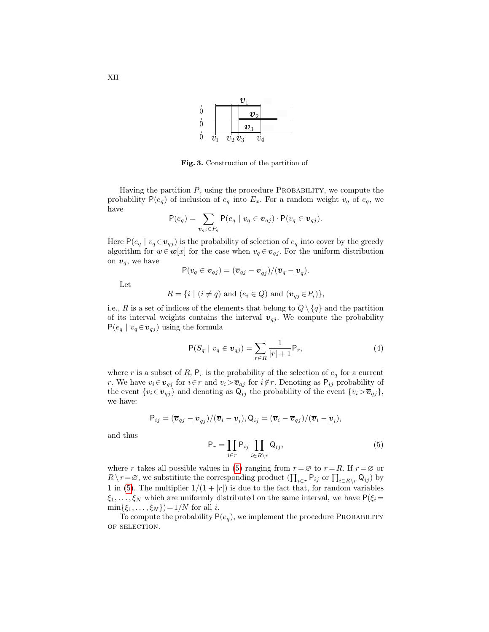|   |       |  |             | υ                  |  |
|---|-------|--|-------------|--------------------|--|
|   |       |  |             | $\boldsymbol{v}_2$ |  |
|   |       |  |             | $\boldsymbol{v}_3$ |  |
| U | $v_1$ |  | $v_2\, v_3$ | $\, v_4$           |  |

Fig. 3. Construction of the partition of

Having the partition  $P$ , using the procedure PROBABILITY, we compute the probability  $P(e_q)$  of inclusion of  $e_q$  into  $E_x$ . For a random weight  $v_q$  of  $e_q$ , we have

$$
\mathsf{P}(e_q) = \sum_{\mathbf{v}_{qj} \in P_q} \mathsf{P}(e_q \mid v_q \in \mathbf{v}_{qj}) \cdot \mathsf{P}(v_q \in \mathbf{v}_{qj}).
$$

Here  $P(e_q | v_q \in v_{qj})$  is the probability of selection of  $e_q$  into cover by the greedy algorithm for  $w \in \mathbf{w}[x]$  for the case when  $v_q \in \mathbf{v}_{qj}$ . For the uniform distribution on  $v_q$ , we have

$$
P(v_q \in \mathbf{v}_{qj}) = (\overline{\mathbf{v}}_{qj} - \underline{\mathbf{v}}_{qj})/(\overline{\mathbf{v}}_q - \underline{\mathbf{v}}_q).
$$

Let

$$
R = \{ i \mid (i \neq q) \text{ and } (e_i \in Q) \text{ and } (\mathbf{v}_{qj} \in P_i) \},
$$

i.e., R is a set of indices of the elements that belong to  $Q \setminus \{q\}$  and the partition of its interval weights contains the interval  $v_{qj}$ . We compute the probability  $P(e_q | v_q \in v_{qj})$  using the formula

$$
P(S_q | v_q \in v_{qj}) = \sum_{r \in R} \frac{1}{|r|+1} P_r,
$$
\n(4)

where r is a subset of R,  $P_r$  is the probability of the selection of  $e_q$  for a current r. We have  $v_i \in v_{qj}$  for  $i \in r$  and  $v_i > \overline{v}_{qj}$  for  $i \notin r$ . Denoting as  $P_{ij}$  probability of the event  $\{v_i \in \mathbf{v}_{qj}\}\$  and denoting as  $\mathsf{Q}_{ij}$  the probability of the event  $\{v_i > \overline{v}_{qj}\}\$ , we have:

$$
P_{ij} = (\overline{\boldsymbol{v}}_{qj} - \underline{\boldsymbol{v}}_{qj})/(\overline{\boldsymbol{v}}_i - \underline{\boldsymbol{v}}_i), Q_{ij} = (\overline{\boldsymbol{v}}_i - \overline{\boldsymbol{v}}_{qj})/(\overline{\boldsymbol{v}}_i - \underline{\boldsymbol{v}}_i),
$$

and thus

<span id="page-11-0"></span>
$$
\mathsf{P}_r = \prod_{i \in r} \mathsf{P}_{ij} \prod_{i \in R \setminus r} \mathsf{Q}_{ij},\tag{5}
$$

where r takes all possible values in [\(5\)](#page-11-0) ranging from  $r = \emptyset$  to  $r = R$ . If  $r = \emptyset$  or  $R \setminus r = \emptyset$ , we substitute the corresponding product  $(\prod_{i \in r} \mathsf{P}_{ij} \text{ or } \prod_{i \in R \setminus r} \mathsf{Q}_{ij})$  by 1 in [\(5\)](#page-11-0). The multiplier  $1/(1+|r|)$  is due to the fact that, for random variables  $\xi_1, \ldots, \xi_N$  which are uniformly distributed on the same interval, we have  $P(\xi_i =$  $\min\{\xi_1, ..., \xi_N\}\)=1/N$  for all *i*.

To compute the probability  $P(e_q)$ , we implement the procedure PROBABILITY of selection.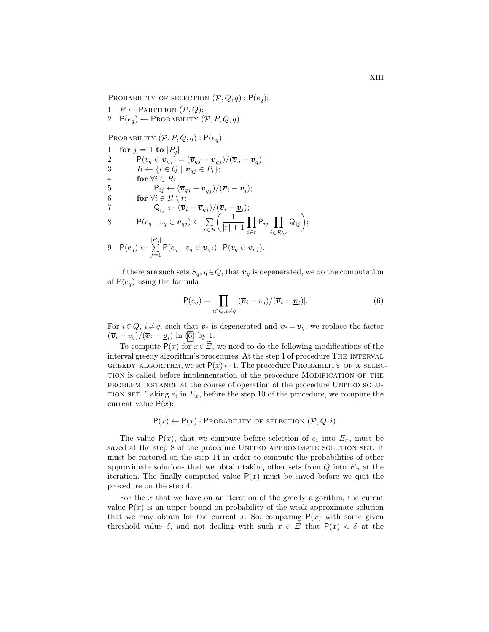PROBABILITY OF SELECTION  $(\mathcal{P}, Q, q) : P(e_q);$ 

- 1  $P \leftarrow$  PARTITION  $(\mathcal{P}, Q)$ ;
- 2  $P(e_q) \leftarrow \text{PROBABILITY } (\mathcal{P}, P, Q, q).$

PROBABILITY  $(\mathcal{P}, P, Q, q)$ :  $P(e_q)$ ;

1 for 
$$
j = 1
$$
 to  $|P_q|$   
\n2  $P(v_q \in \mathbf{v}_{qj}) = (\overline{\mathbf{v}}_{qj} - \underline{\mathbf{v}}_{qj})/(\overline{\mathbf{v}}_q - \underline{\mathbf{v}}_q);$   
\n3  $R \leftarrow \{i \in Q \mid \mathbf{v}_{qj} \in P_i\};$   
\n4 **for**  $\forall i \in R:$   
\n5  $P_{ij} \leftarrow (\overline{\mathbf{v}}_{qj} - \underline{\mathbf{v}}_{qj})/(\overline{\mathbf{v}}_i - \underline{\mathbf{v}}_i);$   
\n6 **for**  $\forall i \in R \setminus r$ :  
\n7  $Q_{ij} \leftarrow (\overline{\mathbf{v}}_i - \overline{\mathbf{v}}_{qj})/(\overline{\mathbf{v}}_i - \underline{\mathbf{v}}_i);$   
\n8  $P(e_q \mid v_q \in \mathbf{v}_{qj}) \leftarrow \sum_{r \in R} \left(\frac{1}{|r|+1} \prod_{i \in r} P_{ij} \prod_{i \in R \setminus r} Q_{ij}\right);$   
\n9  $P(e_q) \leftarrow \sum_{j=1}^{|P_q|} P(e_q \mid v_q \in \mathbf{v}_{qj}) \cdot P(v_q \in \mathbf{v}_{qj}).$ 

If there are such sets  $S_q$ ,  $q \in Q$ , that  $v_q$  is degenerated, we do the computation of  $P(e_q)$  using the formula

<span id="page-12-0"></span>
$$
\mathsf{P}(e_q) = \prod_{i \in Q, i \neq q} [(\overline{\boldsymbol{v}}_i - v_q)/(\overline{\boldsymbol{v}}_i - \underline{\boldsymbol{v}}_i)].
$$
\n(6)

For  $i \in Q$ ,  $i \neq q$ , such that  $v_i$  is degenerated and  $v_i = v_q$ , we replace the factor  $(\overline{\boldsymbol{v}}_i - v_q)/(\overline{\boldsymbol{v}}_i - \underline{\boldsymbol{v}}_i)$  in [\(6\)](#page-12-0) by 1.

To compute P(x) for  $x \in \tilde{\Xi}$ , we need to do the following modifications of the interval greedy algorithm's procedures. At the step 1 of procedure The interval GREEDY ALGORITHM, we set  $P(x) \leftarrow 1$ . The procedure PROBABILITY OF A SELECtion is called before implementation of the procedure Modification of the problem instance at the course of operation of the procedure United solu-TION SET. Taking  $e_i$  in  $E_x$ , before the step 10 of the procedure, we compute the current value  $P(x)$ :

# $P(x) \leftarrow P(x) \cdot \text{PROBABILITY OF SELECTION } (\mathcal{P}, Q, i).$

The value  $P(x)$ , that we compute before selection of  $e_i$  into  $E_x$ , must be saved at the step 8 of the procedure UNITED APPROXIMATE SOLUTION SET. It must be restored on the step 14 in order to compute the probabilities of other approximate solutions that we obtain taking other sets from  $Q$  into  $E_x$  at the iteration. The finally computed value  $P(x)$  must be saved before we quit the procedure on the step 4.

For the  $x$  that we have on an iteration of the greedy algorithm, the curent value  $P(x)$  is an upper bound on probability of the weak approximate solution that we may obtain for the current x. So, comparing  $P(x)$  with some given threshold value  $\delta$ , and not dealing with such  $x \in \tilde{\Xi}$  that  $P(x) < \delta$  at the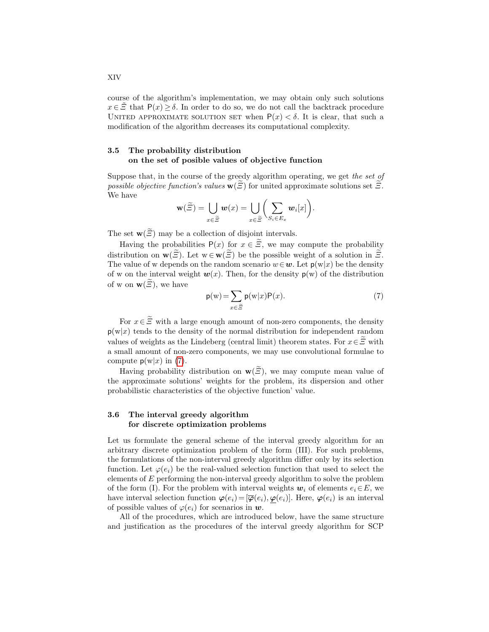course of the algorithm's implementation, we may obtain only such solutions  $x \in \tilde{\Xi}$  that  $P(x) \ge \delta$ . In order to do so, we do not call the backtrack procedure UNITED APPROXIMATE SOLUTION SET when  $P(x) < \delta$ . It is clear, that such a modification of the algorithm decreases its computational complexity.

#### 3.5 The probability distribution on the set of posible values of objective function

Suppose that, in the course of the greedy algorithm operating, we get the set of possible objective function's values  $\mathbf{w}(\Xi)$  for united approximate solutions set  $\Xi$ . We have

$$
\mathbf{w}(\widetilde{\Xi}) = \bigcup_{x \in \widetilde{\Xi}} \boldsymbol{w}(x) = \bigcup_{x \in \widetilde{\Xi}} \biggl( \sum_{S_i \in E_x} \boldsymbol{w}_i[x] \biggr).
$$

The set  $\mathbf{w}(\widetilde{\Xi})$  may be a collection of disjoint intervals.

Having the probabilities  $P(x)$  for  $x \in \widetilde{\mathcal{Z}}$ , we may compute the probability distribution on  $\mathbf{w}(\widetilde{\Xi})$ . Let  $\mathbf{w} \in \mathbf{w}(\widetilde{\Xi})$  be the possible weight of a solution in  $\widetilde{\Xi}$ . The value of w depends on the random scenario  $w \in \mathbf{w}$ . Let  $p(w|x)$  be the density of w on the interval weight  $w(x)$ . Then, for the density  $p(w)$  of the distribution of w on  $\mathbf{w}(\mathbf{E})$ , we have

<span id="page-13-0"></span>
$$
p(w) = \sum_{x \in \tilde{\Xi}} p(w|x)P(x).
$$
 (7)

For  $x \in \tilde{\Xi}$  with a large enough amount of non-zero components, the density  $p(w|x)$  tends to the density of the normal distribution for independent random values of weights as the Lindeberg (central limit) theorem states. For  $x \in \tilde{\Xi}$  with a small amount of non-zero components, we may use convolutional formulae to compute  $p(w|x)$  in [\(7\)](#page-13-0).

Having probability distribution on  $\mathbf{w}(\widetilde{\mathcal{Z}})$ , we may compute mean value of the approximate solutions' weights for the problem, its dispersion and other probabilistic characteristics of the objective function' value.

## 3.6 The interval greedy algorithm for discrete optimization problems

Let us formulate the general scheme of the interval greedy algorithm for an arbitrary discrete optimization problem of the form (III). For such problems, the formulations of the non-interval greedy algorithm differ only by its selection function. Let  $\varphi(e_i)$  be the real-valued selection function that used to select the elements of  $E$  performing the non-interval greedy algorithm to solve the problem of the form (I). For the problem with interval weights  $w_i$  of elements  $e_i \in E$ , we have interval selection function  $\varphi(e_i) = [\overline{\varphi}(e_i), \varphi(e_i)]$ . Here,  $\varphi(e_i)$  is an interval of possible values of  $\varphi(e_i)$  for scenarios in w.

All of the procedures, which are introduced below, have the same structure and justification as the procedures of the interval greedy algorithm for SCP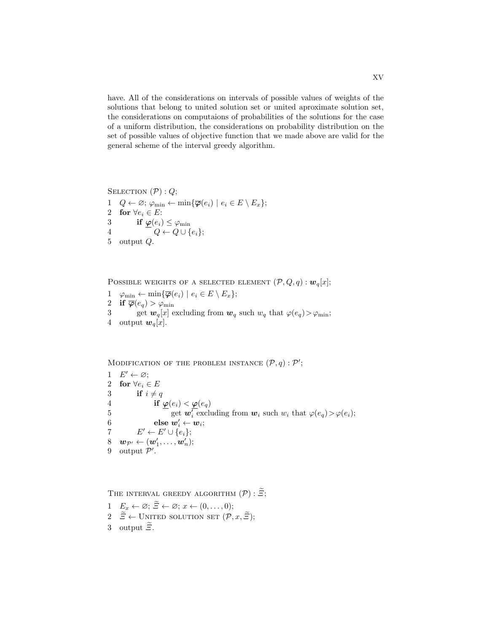have. All of the considerations on intervals of possible values of weights of the solutions that belong to united solution set or united aproximate solution set, the considerations on computaions of probabilities of the solutions for the case of a uniform distribution, the considerations on probability distribution on the set of possible values of objective function that we made above are valid for the general scheme of the interval greedy algorithm.

SELECTION  $(\mathcal{P}) : Q;$ 

1  $Q \leftarrow \varnothing$ ;  $\varphi_{\min} \leftarrow \min{\{\overline{\varphi}(e_i) \mid e_i \in E \setminus E_x\}}$ ; 2 for  $\forall e_i \in E$ : 3 if  $\varphi(e_i) \leq \varphi_{\min}$ 4  $Q \leftarrow Q \cup \{e_i\};$ 5 output Q.

POSSIBLE WEIGHTS OF A SELECTED ELEMENT  $(\mathcal{P}, Q, q) : \mathbf{w}_q[x]$ ;

- $1 \quad \varphi_{\min} \leftarrow \min\{\overline{\varphi}(e_i) \mid e_i \in E \setminus E_x\};$
- 2 if  $\overline{\varphi}(e_q) > \varphi_{\min}$
- 3 get  $w_q[x]$  excluding from  $w_q$  such  $w_q$  that  $\varphi(e_q) > \varphi_{\text{min}}$ ; 4 output  $w_q[x]$ .

MODIFICATION OF THE PROBLEM INSTANCE  $(\mathcal{P}, q) : \mathcal{P}'$ ;

1  $E' \leftarrow \varnothing$ ; 2 for  $\forall e_i \in E$ 3 if  $i \neq q$ 4 if  $\frac{\varphi(e_i) < \varphi(e_q)}{\text{get } \bm{w}_i' \text{ excl}}$ 5 get  $\mathbf{w}_i^T$  excluding from  $\mathbf{w}_i$  such  $w_i$  that  $\varphi(e_q) > \varphi(e_i);$  $6 \qquad \qquad \mathbf{else} \; \bm{w}_i' \leftarrow \bm{w}_i;$ 7  $E' \leftarrow E' \cup \{e_i\};$  $8 \quad \bm{w}_{\mathcal{P}'} \leftarrow (\bm{w}_1', \dots, \bm{w}_n');$ 9 output  $\mathcal{P}'$ .

THE INTERVAL GREEDY ALGORITHM  $(\mathcal{P}) : \widetilde{\mathcal{Z}};$ 

1  $E_x \leftarrow \varnothing; \tilde{\Xi} \leftarrow \varnothing; x \leftarrow (0, \ldots, 0);$ 2  $\widetilde{\Xi} \leftarrow$  UNITED SOLUTION SET  $(\mathcal{P}, x, \widetilde{\Xi})$ ; 3 output  $\widetilde{\Xi}$ .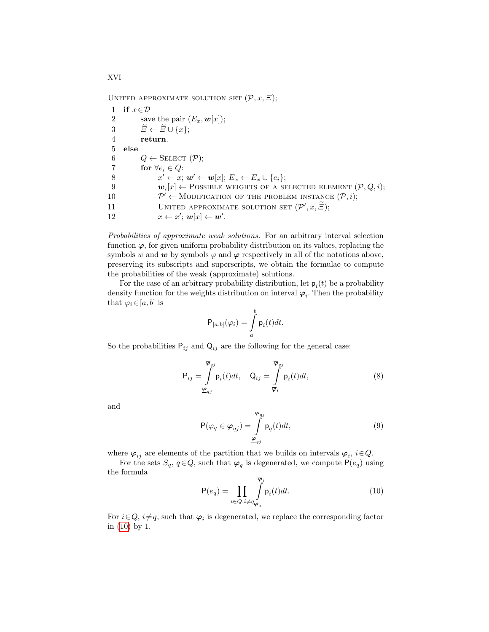UNITED APPROXIMATE SOLUTION SET  $(\mathcal{P}, x, \Xi)$ ;

1 if  $x \in \mathcal{D}$ 2 save the pair  $(E_x, \boldsymbol{w}[x])$ ; 3  $\widetilde{\Xi} \leftarrow \widetilde{\Xi} \cup \{x\};$ <br>4 return. return. 5 else 6  $Q \leftarrow$  SELECT  $(\mathcal{P});$ 7 for  $\forall e_i \in Q$ : 8  $x' \leftarrow x; w' \leftarrow \mathbf{w}[x]; E_x \leftarrow E_x \cup \{e_i\};$ 9  $\mathbf{w}_i[x] \leftarrow \text{Possible}$  weights of a selected element  $(\mathcal{P}, Q, i);$  $10$  $\mathcal{P}' \leftarrow$  MODIFICATION OF THE PROBLEM INSTANCE  $(\mathcal{P}, i)$ ; 11 UNITED APPROXIMATE SOLUTION SET  $(\mathcal{P}', x, \widetilde{\Xi})$ ; 12  $x \leftarrow x'; \mathbf{w}[x] \leftarrow \mathbf{w}'.$ 

Probabilities of approximate weak solutions. For an arbitrary interval selection function  $\varphi$ , for given uniform probability distribution on its values, replacing the symbols w and w by symbols  $\varphi$  and  $\varphi$  respectively in all of the notations above, preserving its subscripts and superscripts, we obtain the formulae to compute the probabilities of the weak (approximate) solutions.

For the case of an arbitrary probability distribution, let  $p_i(t)$  be a probability density function for the weights distribution on interval  $\varphi_i$ . Then the probability that  $\varphi_i \in [a, b]$  is

$$
\mathsf{P}_{[a,b]}(\varphi_i) = \int_a^b \mathsf{p}_i(t) dt.
$$

So the probabilities  $P_{ij}$  and  $Q_{ij}$  are the following for the general case:

<span id="page-15-1"></span>
$$
P_{ij} = \int_{\underline{\varphi}_{qj}}^{\overline{\varphi}_{qj}} p_i(t) dt, \quad Q_{ij} = \int_{\overline{\varphi}_i}^{\overline{\varphi}_{qj}} p_i(t) dt,
$$
\n(8)

and

$$
\mathsf{P}(\varphi_q \in \varphi_{qj}) = \int\limits_{\underline{\varphi}_{qj}}^{\overline{\varphi}_{qj}} \mathsf{p}_q(t) dt,
$$
\n(9)

where  $\varphi_{ij}$  are elements of the partition that we builds on intervals  $\varphi_i$ ,  $i \in Q$ .

For the sets  $S_q$ ,  $q \in Q$ , such that  $\varphi_q$  is degenerated, we compute  $P(e_q)$  using the formula

<span id="page-15-0"></span>
$$
\mathsf{P}(e_q) = \prod_{i \in Q, i \neq q} \int_{\varphi_q}^{\overline{\varphi}_i} \mathsf{p}_i(t) dt.
$$
 (10)

For  $i \in Q$ ,  $i \neq q$ , such that  $\varphi_i$  is degenerated, we replace the corresponding factor in [\(10\)](#page-15-0) by 1.

XVI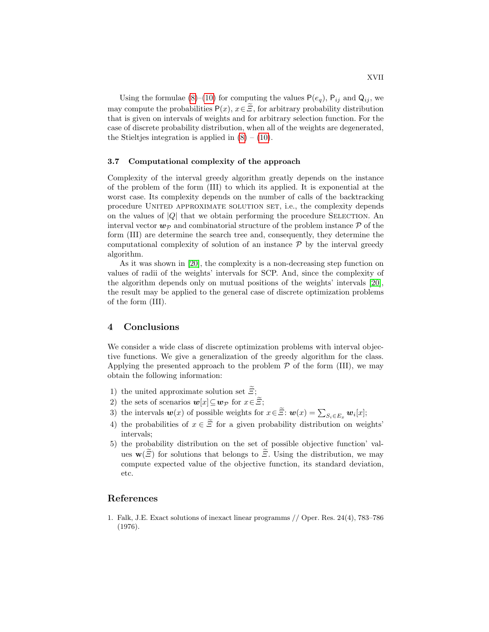Using the formulae [\(8\)](#page-15-1)–[\(10\)](#page-15-0) for computing the values  $P(e_q)$ ,  $P_{ij}$  and  $Q_{ij}$ , we may compute the probabilities  $P(x)$ ,  $x \in \tilde{\Xi}$ , for arbitrary probability distribution that is given on intervals of weights and for arbitrary selection function. For the case of discrete probability distribution, when all of the weights are degenerated, the Stieltjes integration is applied in  $(8) - (10)$  $(8) - (10)$  $(8) - (10)$ .

#### 3.7 Computational complexity of the approach

Complexity of the interval greedy algorithm greatly depends on the instance of the problem of the form (III) to which its applied. It is exponential at the worst case. Its complexity depends on the number of calls of the backtracking procedure UNITED APPROXIMATE SOLUTION SET, i.e., the complexity depends on the values of  $|Q|$  that we obtain performing the procedure SELECTION. An interval vector  $w_{\mathcal{P}}$  and combinatorial structure of the problem instance  $\mathcal P$  of the form (III) are determine the search tree and, consequently, they determine the computational complexity of solution of an instance  $\mathcal P$  by the interval greedy algorithm.

As it was shown in [\[20\]](#page-17-16), the complexity is a non-decreasing step function on values of radii of the weights' intervals for SCP. And, since the complexity of the algorithm depends only on mutual positions of the weights' intervals [\[20\]](#page-17-16), the result may be applied to the general case of discrete optimization problems of the form (III).

# 4 Conclusions

We consider a wide class of discrete optimization problems with interval objective functions. We give a generalization of the greedy algorithm for the class. Applying the presented approach to the problem  $P$  of the form (III), we may obtain the following information:

- 1) the united approximate solution set  $\tilde{\varXi};$
- 2) the sets of scenarios  $\mathbf{w}[x] \subseteq \mathbf{w}_{\mathcal{P}}$  for  $x \in \widetilde{\Xi}$ ;
- 3) the intervals  $w(x)$  of possible weights for  $x \in \Xi$ :  $w(x) = \sum_{S_i \in E_x} w_i[x]$ ;
- 4) the probabilities of  $x \in \tilde{\Xi}$  for a given probability distribution on weights' intervals;
- 5) the probability distribution on the set of possible objective function' values  $\mathbf{w}(\widetilde{\Xi})$  for solutions that belongs to  $\widetilde{\Xi}$ . Using the distribution, we may compute expected value of the objective function, its standard deviation, etc.

# References

<span id="page-16-0"></span>1. Falk, J.E. Exact solutions of inexact linear programms // Oper. Res. 24(4), 783–786 (1976).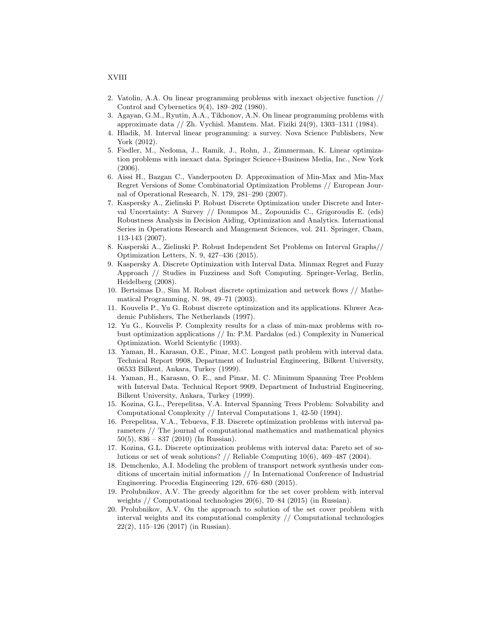#### XVIII

- <span id="page-17-0"></span>2. Vatolin, A.A. On linear programming problems with inexact objective function // Control and Cybernetics 9(4), 189–202 (1980).
- <span id="page-17-1"></span>3. Agayan, G.M., Ryutin, A.A., Tikhonov, A.N. On linear programming problems with approximate data // Zh. Vychisl. Mamtem. Mat. Fiziki 24(9), 1303–1311 (1984).
- <span id="page-17-2"></span>4. Hladik, M. Interval linear programming: a survey. Nova Science Publishers, New York (2012).
- <span id="page-17-3"></span>5. Fiedler, M., Nedoma, J., Ramik, J., Rohn, J., Zimmerman, K. Linear optimization problems with inexact data. Springer Science+Business Media, Inc., New York (2006).
- 6. Aissi H., Bazgan C., Vanderpooten D. Approximation of Min-Max and Min-Max Regret Versions of Some Combinatorial Optimization Problems // European Journal of Operational Research, N. 179, 281–290 (2007).
- <span id="page-17-4"></span>7. Kaspersky A., Zielinski P. Robust Discrete Optimization under Discrete and Interval Uncertainty: A Survey // Doumpos M., Zopounidis C., Grigoroudis E. (eds) Robustness Analysis in Decision Aiding, Optimization and Analytics. International Series in Operations Research and Mangement Sciences, vol. 241. Springer, Cham, 113-143 (2007).
- <span id="page-17-5"></span>8. Kasperski A., Zielinski P. Robust Independent Set Problems on Interval Graphs// Optimization Letters, N. 9, 427–436 (2015).
- <span id="page-17-6"></span>9. Kaspersky A. Discrete Optimization with Interval Data. Minmax Regret and Fuzzy Approach // Studies in Fuzziness and Soft Computing. Springer-Verlag, Berlin, Heidelberg (2008).
- <span id="page-17-7"></span>10. Bertsimas D., Sim M. Robust discrete optimization and network flows // Mathematical Programming, N. 98, 49–71 (2003).
- <span id="page-17-8"></span>11. Kouvelis P., Yu G. Robust discrete optimization and its applications. Kluwer Academic Publishers, The Netherlands (1997).
- <span id="page-17-9"></span>12. Yu G., Kouvelis P. Complexity results for a class of min-max problems with robust optimization applications // In: P.M. Pardalos (ed.) Complexity in Numerical Optimization. World Scientyfic (1993).
- <span id="page-17-10"></span>13. Yaman, H., Karasan, O.E., Pinar, M.C. Longest path problem with interval data. Technical Report 9908, Department of Industrial Engineering, Bilkent University, 06533 Bilkent, Ankara, Turkey (1999).
- <span id="page-17-15"></span>14. Yaman, H., Karasan, O. E., and Pinar, M. C. Minimum Spanning Tree Problem with Interval Data. Technical Report 9909, Department of Industrial Engineering, Bilkent University, Ankara, Turkey (1999).
- <span id="page-17-11"></span>15. Kozina, G.L., Perepelitsa, V.A. Interval Spanning Trees Problem: Solvability and Computational Complexity // Interval Computations 1, 42-50 (1994).
- <span id="page-17-12"></span>16. Perepelitsa, V.A., Tebueva, F.B. Discrete optimization problems with interval parameters // The journal of computational mathematics and mathematical physics  $50(5)$ ,  $836 - 837$  (2010) (In Russian).
- <span id="page-17-13"></span>17. Kozina, G.L. Discrete optimization problems with interval data: Pareto set of solutions or set of weak solutions? // Reliable Computing 10(6), 469–487 (2004).
- <span id="page-17-14"></span>18. Demchenko, A.I. Modeling the problem of transport network synthesis under conditions of uncertain initial information // In International Conference of Industrial Engineering. Procedia Engineering 129, 676–680 (2015).
- 19. Prolubnikov, A.V. The greedy algorithm for the set cover problem with interval weights // Computational technologies 20(6), 70–84 (2015) (in Russian).
- <span id="page-17-16"></span>20. Prolubnikov, A.V. On the approach to solution of the set cover problem with interval weights and its computational complexity // Computational technologies 22(2), 115–126 (2017) (in Russian).